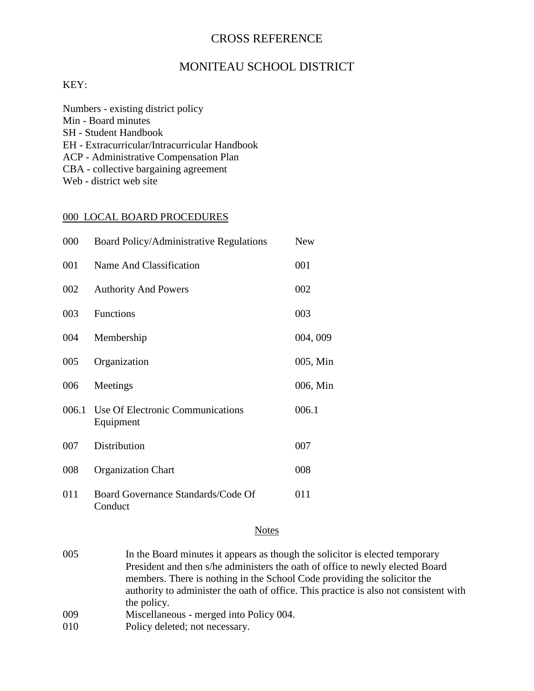### CROSS REFERENCE

## MONITEAU SCHOOL DISTRICT

#### KEY:

| Numbers - existing district policy            |
|-----------------------------------------------|
| Min - Board minutes                           |
| <b>SH</b> - Student Handbook                  |
| EH - Extracurricular/Intracurricular Handbook |
| <b>ACP</b> - Administrative Compensation Plan |
| CBA - collective bargaining agreement         |
| Web - district web site                       |

#### 000 LOCAL BOARD PROCEDURES

| 000   | Board Policy/Administrative Regulations       | <b>New</b> |
|-------|-----------------------------------------------|------------|
| 001   | Name And Classification                       | 001        |
| 002   | <b>Authority And Powers</b>                   | 002        |
| 003   | <b>Functions</b>                              | 003        |
| 004   | Membership                                    | 004, 009   |
| 005   | Organization                                  | 005, Min   |
| 006   | Meetings                                      | 006, Min   |
| 006.1 | Use Of Electronic Communications<br>Equipment | 006.1      |
| 007   | Distribution                                  | 007        |
| 008   | <b>Organization Chart</b>                     | 008        |
| 011   | Board Governance Standards/Code Of<br>Conduct | 011        |

#### **Notes**

- 005 In the Board minutes it appears as though the solicitor is elected temporary President and then s/he administers the oath of office to newly elected Board members. There is nothing in the School Code providing the solicitor the authority to administer the oath of office. This practice is also not consistent with the policy.
- 009 Miscellaneous merged into Policy 004.
- 010 Policy deleted; not necessary.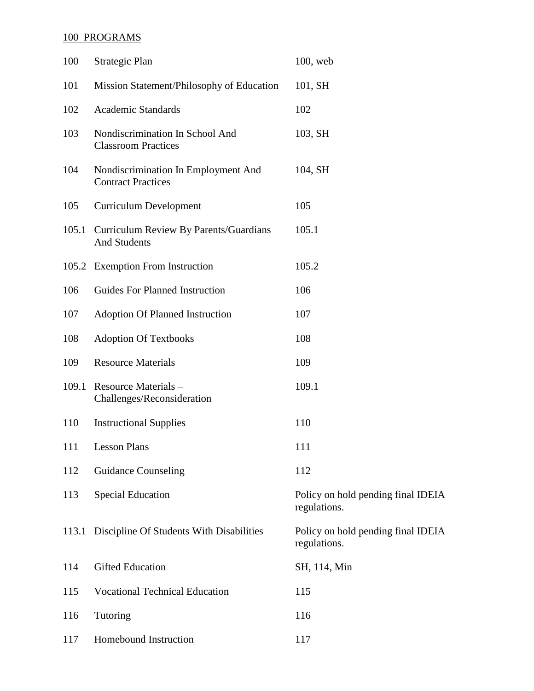## 100 PROGRAMS

| 100   | Strategic Plan                                                   | $100$ , web                                        |
|-------|------------------------------------------------------------------|----------------------------------------------------|
| 101   | Mission Statement/Philosophy of Education                        | 101, SH                                            |
| 102   | <b>Academic Standards</b>                                        | 102                                                |
| 103   | Nondiscrimination In School And<br><b>Classroom Practices</b>    | 103, SH                                            |
| 104   | Nondiscrimination In Employment And<br><b>Contract Practices</b> | 104, SH                                            |
| 105   | <b>Curriculum Development</b>                                    | 105                                                |
| 105.1 | Curriculum Review By Parents/Guardians<br><b>And Students</b>    | 105.1                                              |
|       | 105.2 Exemption From Instruction                                 | 105.2                                              |
| 106   | <b>Guides For Planned Instruction</b>                            | 106                                                |
| 107   | <b>Adoption Of Planned Instruction</b>                           | 107                                                |
| 108   | <b>Adoption Of Textbooks</b>                                     | 108                                                |
| 109   | <b>Resource Materials</b>                                        | 109                                                |
|       | 109.1 Resource Materials -<br>Challenges/Reconsideration         | 109.1                                              |
| 110   | <b>Instructional Supplies</b>                                    | 110                                                |
| 111   | <b>Lesson Plans</b>                                              | 111                                                |
| 112   | <b>Guidance Counseling</b>                                       | 112                                                |
| 113   | <b>Special Education</b>                                         | Policy on hold pending final IDEIA<br>regulations. |
|       | 113.1 Discipline Of Students With Disabilities                   | Policy on hold pending final IDEIA<br>regulations. |
| 114   | <b>Gifted Education</b>                                          | SH, 114, Min                                       |
| 115   | <b>Vocational Technical Education</b>                            | 115                                                |
| 116   | Tutoring                                                         | 116                                                |
| 117   | Homebound Instruction                                            | 117                                                |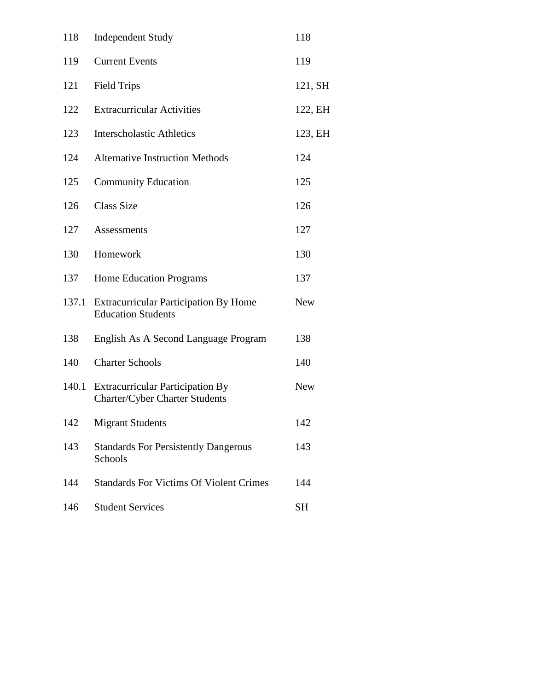| 118   | <b>Independent Study</b>                                                  | 118        |
|-------|---------------------------------------------------------------------------|------------|
| 119   | <b>Current Events</b>                                                     | 119        |
| 121   | <b>Field Trips</b>                                                        | 121, SH    |
| 122   | <b>Extracurricular Activities</b>                                         | 122, EH    |
| 123   | <b>Interscholastic Athletics</b>                                          | 123, EH    |
| 124   | <b>Alternative Instruction Methods</b>                                    | 124        |
| 125   | <b>Community Education</b>                                                | 125        |
| 126   | <b>Class Size</b>                                                         | 126        |
| 127   | <b>Assessments</b>                                                        | 127        |
| 130   | Homework                                                                  | 130        |
| 137   | <b>Home Education Programs</b>                                            | 137        |
| 137.1 | <b>Extracurricular Participation By Home</b><br><b>Education Students</b> | <b>New</b> |
| 138   | English As A Second Language Program                                      | 138        |
| 140   | <b>Charter Schools</b>                                                    | 140        |
| 140.1 | <b>Extracurricular Participation By</b><br>Charter/Cyber Charter Students | <b>New</b> |
| 142   | <b>Migrant Students</b>                                                   | 142        |
| 143   | <b>Standards For Persistently Dangerous</b><br>Schools                    | 143        |
| 144   | <b>Standards For Victims Of Violent Crimes</b>                            | 144        |
| 146   | <b>Student Services</b>                                                   | <b>SH</b>  |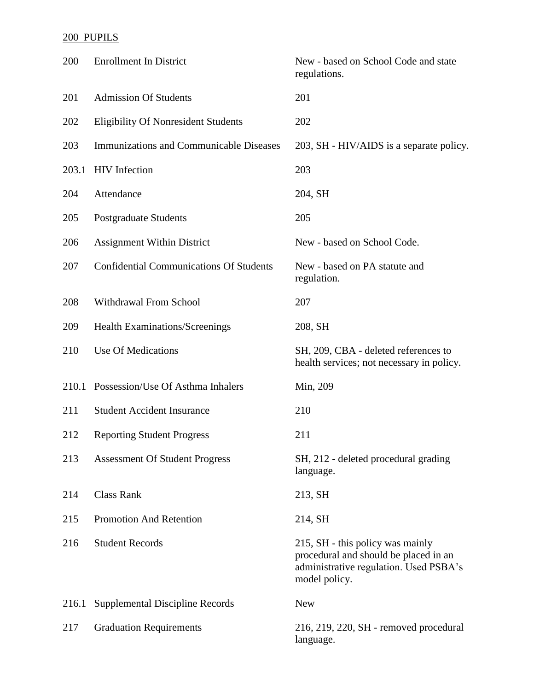## 200 PUPILS

| 200   | <b>Enrollment In District</b>                  | New - based on School Code and state<br>regulations.                                                                                 |
|-------|------------------------------------------------|--------------------------------------------------------------------------------------------------------------------------------------|
| 201   | <b>Admission Of Students</b>                   | 201                                                                                                                                  |
| 202   | <b>Eligibility Of Nonresident Students</b>     | 202                                                                                                                                  |
| 203   | <b>Immunizations and Communicable Diseases</b> | 203, SH - HIV/AIDS is a separate policy.                                                                                             |
| 203.1 | <b>HIV</b> Infection                           | 203                                                                                                                                  |
| 204   | Attendance                                     | 204, SH                                                                                                                              |
| 205   | Postgraduate Students                          | 205                                                                                                                                  |
| 206   | <b>Assignment Within District</b>              | New - based on School Code.                                                                                                          |
| 207   | <b>Confidential Communications Of Students</b> | New - based on PA statute and<br>regulation.                                                                                         |
| 208   | Withdrawal From School                         | 207                                                                                                                                  |
| 209   | Health Examinations/Screenings                 | 208, SH                                                                                                                              |
| 210   | <b>Use Of Medications</b>                      | SH, 209, CBA - deleted references to<br>health services; not necessary in policy.                                                    |
|       | 210.1 Possession/Use Of Asthma Inhalers        | Min, 209                                                                                                                             |
| 211   | <b>Student Accident Insurance</b>              | 210                                                                                                                                  |
| 212   | <b>Reporting Student Progress</b>              | 211                                                                                                                                  |
| 213   | <b>Assessment Of Student Progress</b>          | SH, 212 - deleted procedural grading<br>language.                                                                                    |
| 214   | <b>Class Rank</b>                              | 213, SH                                                                                                                              |
| 215   | <b>Promotion And Retention</b>                 | 214, SH                                                                                                                              |
| 216   | <b>Student Records</b>                         | 215, SH - this policy was mainly<br>procedural and should be placed in an<br>administrative regulation. Used PSBA's<br>model policy. |
| 216.1 | Supplemental Discipline Records                | <b>New</b>                                                                                                                           |
| 217   | <b>Graduation Requirements</b>                 | 216, 219, 220, SH - removed procedural<br>language.                                                                                  |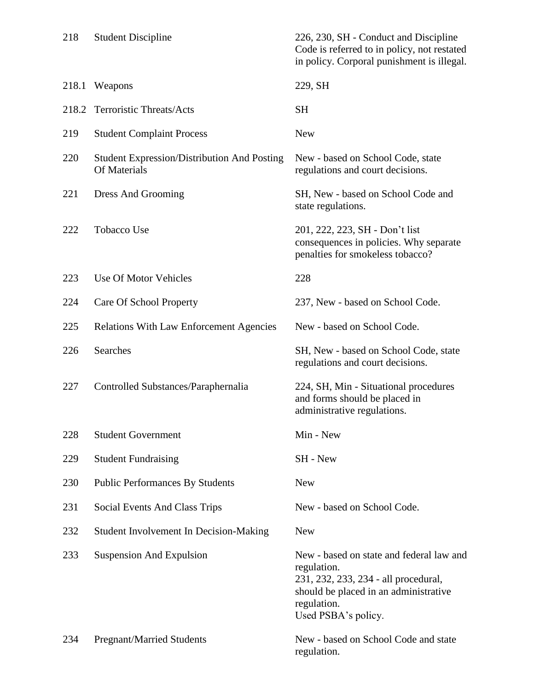| 218   | <b>Student Discipline</b>                                          | 226, 230, SH - Conduct and Discipline<br>Code is referred to in policy, not restated<br>in policy. Corporal punishment is illegal.                                             |
|-------|--------------------------------------------------------------------|--------------------------------------------------------------------------------------------------------------------------------------------------------------------------------|
| 218.1 | Weapons                                                            | 229, SH                                                                                                                                                                        |
| 218.2 | <b>Terroristic Threats/Acts</b>                                    | <b>SH</b>                                                                                                                                                                      |
| 219   | <b>Student Complaint Process</b>                                   | <b>New</b>                                                                                                                                                                     |
| 220   | <b>Student Expression/Distribution And Posting</b><br>Of Materials | New - based on School Code, state<br>regulations and court decisions.                                                                                                          |
| 221   | Dress And Grooming                                                 | SH, New - based on School Code and<br>state regulations.                                                                                                                       |
| 222   | <b>Tobacco Use</b>                                                 | 201, 222, 223, SH - Don't list<br>consequences in policies. Why separate<br>penalties for smokeless tobacco?                                                                   |
| 223   | Use Of Motor Vehicles                                              | 228                                                                                                                                                                            |
| 224   | Care Of School Property                                            | 237, New - based on School Code.                                                                                                                                               |
| 225   | <b>Relations With Law Enforcement Agencies</b>                     | New - based on School Code.                                                                                                                                                    |
| 226   | <b>Searches</b>                                                    | SH, New - based on School Code, state<br>regulations and court decisions.                                                                                                      |
| 227   | Controlled Substances/Paraphernalia                                | 224, SH, Min - Situational procedures<br>and forms should be placed in<br>administrative regulations.                                                                          |
| 228   | <b>Student Government</b>                                          | Min - New                                                                                                                                                                      |
| 229   | <b>Student Fundraising</b>                                         | SH - New                                                                                                                                                                       |
| 230   | <b>Public Performances By Students</b>                             | <b>New</b>                                                                                                                                                                     |
| 231   | Social Events And Class Trips                                      | New - based on School Code.                                                                                                                                                    |
| 232   | Student Involvement In Decision-Making                             | <b>New</b>                                                                                                                                                                     |
| 233   | <b>Suspension And Expulsion</b>                                    | New - based on state and federal law and<br>regulation.<br>231, 232, 233, 234 - all procedural,<br>should be placed in an administrative<br>regulation.<br>Used PSBA's policy. |
| 234   | <b>Pregnant/Married Students</b>                                   | New - based on School Code and state<br>regulation.                                                                                                                            |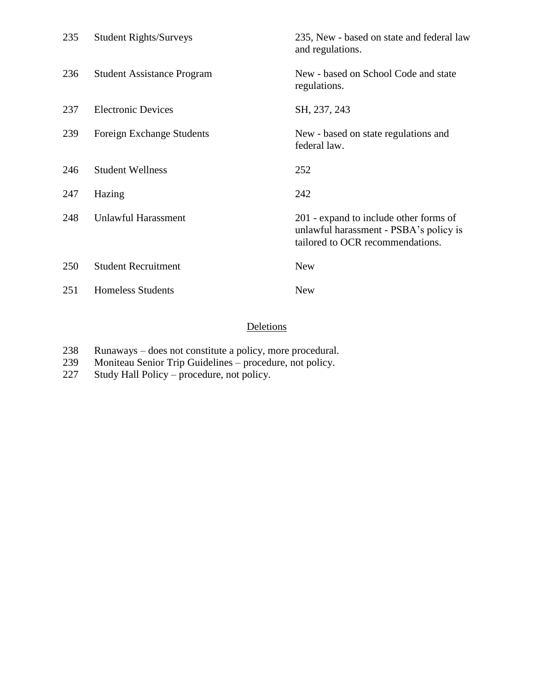| 235 | <b>Student Rights/Surveys</b>     | 235, New - based on state and federal law<br>and regulations.                                                        |
|-----|-----------------------------------|----------------------------------------------------------------------------------------------------------------------|
| 236 | <b>Student Assistance Program</b> | New - based on School Code and state<br>regulations.                                                                 |
| 237 | <b>Electronic Devices</b>         | SH, 237, 243                                                                                                         |
| 239 | Foreign Exchange Students         | New - based on state regulations and<br>federal law.                                                                 |
| 246 | <b>Student Wellness</b>           | 252                                                                                                                  |
| 247 | Hazing                            | 242                                                                                                                  |
| 248 | Unlawful Harassment               | 201 - expand to include other forms of<br>unlawful harassment - PSBA's policy is<br>tailored to OCR recommendations. |
| 250 | <b>Student Recruitment</b>        | <b>New</b>                                                                                                           |
| 251 | <b>Homeless Students</b>          | <b>New</b>                                                                                                           |

## **Deletions**

- Runaways does not constitute a policy, more procedural.
- Moniteau Senior Trip Guidelines procedure, not policy.
- Study Hall Policy procedure, not policy.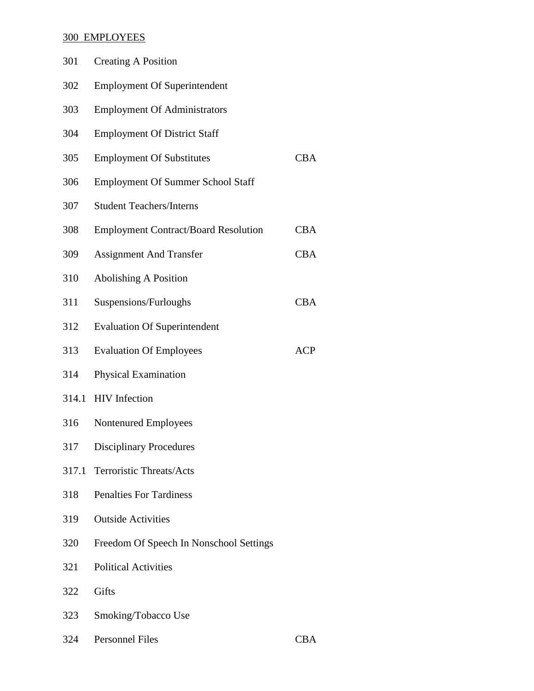### 300 EMPLOYEES

| 301   | <b>Creating A Position</b>                  |            |
|-------|---------------------------------------------|------------|
| 302   | <b>Employment Of Superintendent</b>         |            |
| 303   | <b>Employment Of Administrators</b>         |            |
| 304   | <b>Employment Of District Staff</b>         |            |
| 305   | <b>Employment Of Substitutes</b>            | <b>CBA</b> |
| 306   | <b>Employment Of Summer School Staff</b>    |            |
| 307   | <b>Student Teachers/Interns</b>             |            |
| 308   | <b>Employment Contract/Board Resolution</b> | <b>CBA</b> |
| 309   | <b>Assignment And Transfer</b>              | <b>CBA</b> |
| 310   | <b>Abolishing A Position</b>                |            |
| 311   | Suspensions/Furloughs                       | <b>CBA</b> |
| 312   | <b>Evaluation Of Superintendent</b>         |            |
| 313   | <b>Evaluation Of Employees</b>              | <b>ACP</b> |
| 314   | Physical Examination                        |            |
| 314.1 | <b>HIV</b> Infection                        |            |
| 316   | Nontenured Employees                        |            |
| 317   | <b>Disciplinary Procedures</b>              |            |
| 317.1 | <b>Terroristic Threats/Acts</b>             |            |
| 318   | <b>Penalties For Tardiness</b>              |            |
| 319   | <b>Outside Activities</b>                   |            |
| 320   | Freedom Of Speech In Nonschool Settings     |            |
| 321   | <b>Political Activities</b>                 |            |
| 322   | Gifts                                       |            |
| 323   | Smoking/Tobacco Use                         |            |
|       |                                             |            |

| 324 | <b>Personnel Files</b> | <b>CBA</b> |
|-----|------------------------|------------|
|     |                        |            |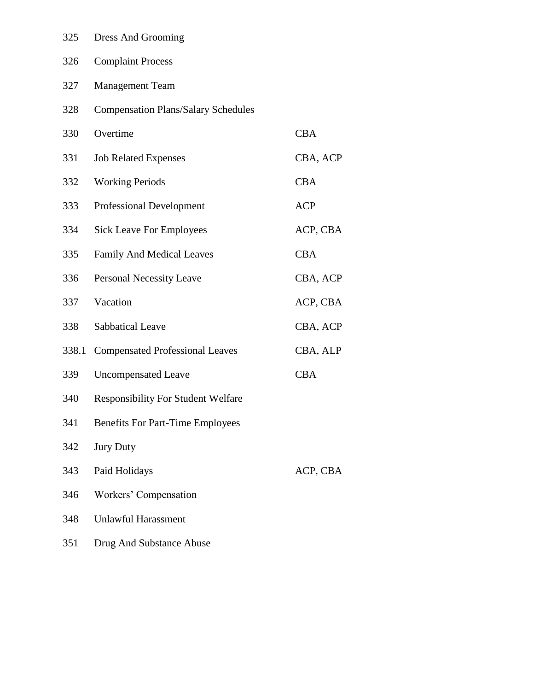| 325   | Dress And Grooming                         |            |
|-------|--------------------------------------------|------------|
| 326   | <b>Complaint Process</b>                   |            |
| 327   | <b>Management Team</b>                     |            |
| 328   | <b>Compensation Plans/Salary Schedules</b> |            |
| 330   | Overtime                                   | <b>CBA</b> |
| 331   | <b>Job Related Expenses</b>                | CBA, ACP   |
| 332   | <b>Working Periods</b>                     | <b>CBA</b> |
| 333   | <b>Professional Development</b>            | <b>ACP</b> |
| 334   | <b>Sick Leave For Employees</b>            | ACP, CBA   |
| 335   | <b>Family And Medical Leaves</b>           | <b>CBA</b> |
| 336   | <b>Personal Necessity Leave</b>            | CBA, ACP   |
| 337   | Vacation                                   | ACP, CBA   |
| 338   | <b>Sabbatical Leave</b>                    | CBA, ACP   |
| 338.1 | <b>Compensated Professional Leaves</b>     | CBA, ALP   |
| 339   | <b>Uncompensated Leave</b>                 | <b>CBA</b> |
| 340   | <b>Responsibility For Student Welfare</b>  |            |
| 341   | <b>Benefits For Part-Time Employees</b>    |            |
| 342   | <b>Jury Duty</b>                           |            |
| 343   | Paid Holidays                              | ACP, CBA   |
| 346   | Workers' Compensation                      |            |
| 348   | <b>Unlawful Harassment</b>                 |            |
| 351   | Drug And Substance Abuse                   |            |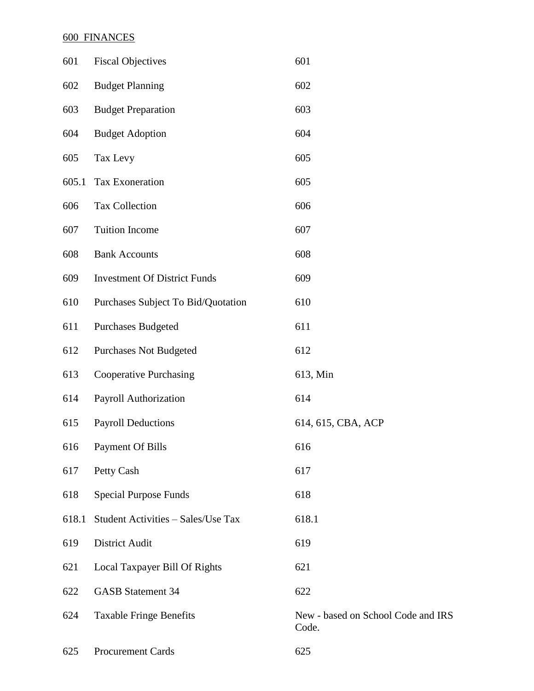### 600 FINANCES

| 601   | <b>Fiscal Objectives</b>            | 601                                         |
|-------|-------------------------------------|---------------------------------------------|
| 602   | <b>Budget Planning</b>              | 602                                         |
| 603   | <b>Budget Preparation</b>           | 603                                         |
| 604   | <b>Budget Adoption</b>              | 604                                         |
| 605   | Tax Levy                            | 605                                         |
| 605.1 | Tax Exoneration                     | 605                                         |
| 606   | <b>Tax Collection</b>               | 606                                         |
| 607   | <b>Tuition Income</b>               | 607                                         |
| 608   | <b>Bank Accounts</b>                | 608                                         |
| 609   | <b>Investment Of District Funds</b> | 609                                         |
| 610   | Purchases Subject To Bid/Quotation  | 610                                         |
| 611   | <b>Purchases Budgeted</b>           | 611                                         |
| 612   | <b>Purchases Not Budgeted</b>       | 612                                         |
| 613   | <b>Cooperative Purchasing</b>       | 613, Min                                    |
| 614   | Payroll Authorization               | 614                                         |
| 615   | <b>Payroll Deductions</b>           | 614, 615, CBA, ACP                          |
| 616   | <b>Payment Of Bills</b>             | 616                                         |
| 617   | Petty Cash                          | 617                                         |
| 618   | <b>Special Purpose Funds</b>        | 618                                         |
| 618.1 | Student Activities - Sales/Use Tax  | 618.1                                       |
| 619   | District Audit                      | 619                                         |
| 621   | Local Taxpayer Bill Of Rights       | 621                                         |
| 622   | <b>GASB Statement 34</b>            | 622                                         |
| 624   | <b>Taxable Fringe Benefits</b>      | New - based on School Code and IRS<br>Code. |
|       |                                     |                                             |

Procurement Cards 625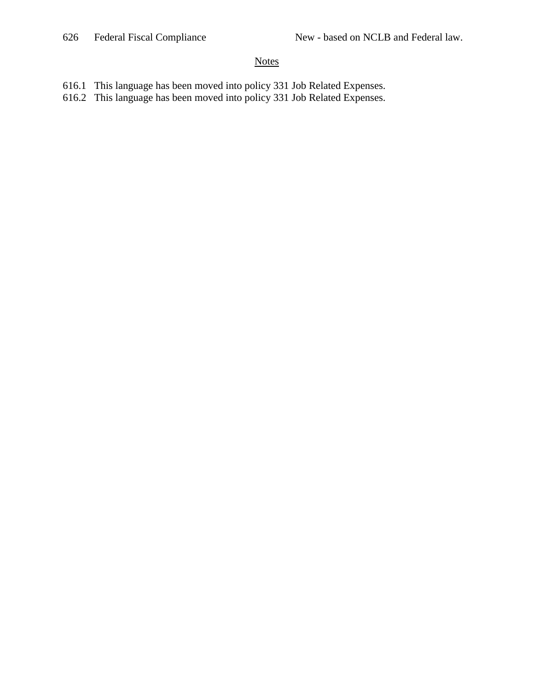#### **Notes**

- 616.1 This language has been moved into policy 331 Job Related Expenses.
- 616.2 This language has been moved into policy 331 Job Related Expenses.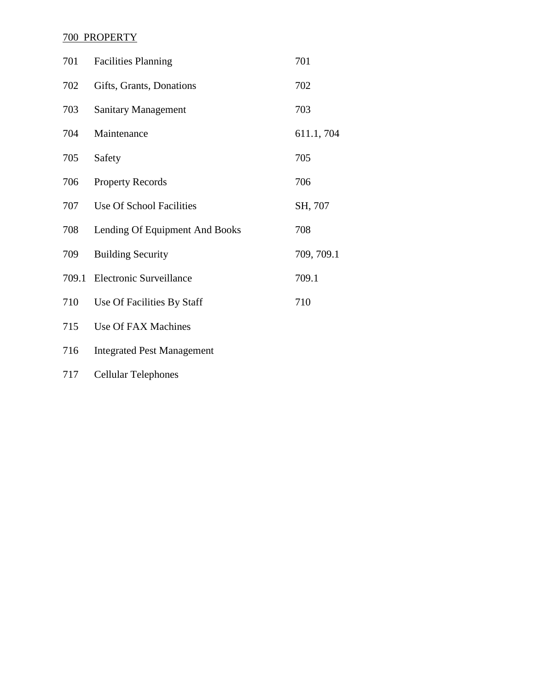# 700 PROPERTY

| 701   | <b>Facilities Planning</b>        | 701        |
|-------|-----------------------------------|------------|
| 702   | Gifts, Grants, Donations          | 702        |
| 703   | <b>Sanitary Management</b>        | 703        |
| 704   | Maintenance                       | 611.1, 704 |
| 705   | Safety                            | 705        |
| 706   | <b>Property Records</b>           | 706        |
| 707   | Use Of School Facilities          | SH, 707    |
| 708   | Lending Of Equipment And Books    | 708        |
| 709   | <b>Building Security</b>          | 709, 709.1 |
| 709.1 | <b>Electronic Surveillance</b>    | 709.1      |
| 710   | Use Of Facilities By Staff        | 710        |
| 715   | Use Of FAX Machines               |            |
| 716   | <b>Integrated Pest Management</b> |            |

Cellular Telephones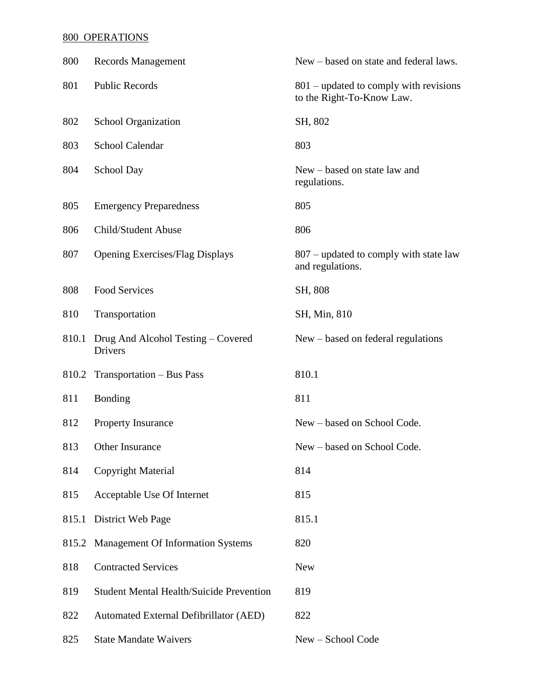## 800 OPERATIONS

| 800   | <b>Records Management</b>                       | New – based on state and federal laws.                                |
|-------|-------------------------------------------------|-----------------------------------------------------------------------|
| 801   | <b>Public Records</b>                           | $801$ – updated to comply with revisions<br>to the Right-To-Know Law. |
| 802   | <b>School Organization</b>                      | SH, 802                                                               |
| 803   | School Calendar                                 | 803                                                                   |
| 804   | School Day                                      | New – based on state law and<br>regulations.                          |
| 805   | <b>Emergency Preparedness</b>                   | 805                                                                   |
| 806   | Child/Student Abuse                             | 806                                                                   |
| 807   | <b>Opening Exercises/Flag Displays</b>          | 807 – updated to comply with state law<br>and regulations.            |
| 808   | Food Services                                   | SH, 808                                                               |
| 810   | Transportation                                  | SH, Min, 810                                                          |
| 810.1 | Drug And Alcohol Testing – Covered<br>Drivers   | New – based on federal regulations                                    |
|       | 810.2 Transportation – Bus Pass                 | 810.1                                                                 |
| 811   | Bonding                                         | 811                                                                   |
| 812   | Property Insurance                              | New - based on School Code.                                           |
| 813   | Other Insurance                                 | New – based on School Code.                                           |
| 814   | Copyright Material                              | 814                                                                   |
| 815   | Acceptable Use Of Internet                      | 815                                                                   |
| 815.1 | District Web Page                               | 815.1                                                                 |
| 815.2 | <b>Management Of Information Systems</b>        | 820                                                                   |
| 818   | <b>Contracted Services</b>                      | <b>New</b>                                                            |
| 819   | <b>Student Mental Health/Suicide Prevention</b> | 819                                                                   |
| 822   | Automated External Defibrillator (AED)          | 822                                                                   |
| 825   | <b>State Mandate Waivers</b>                    | New - School Code                                                     |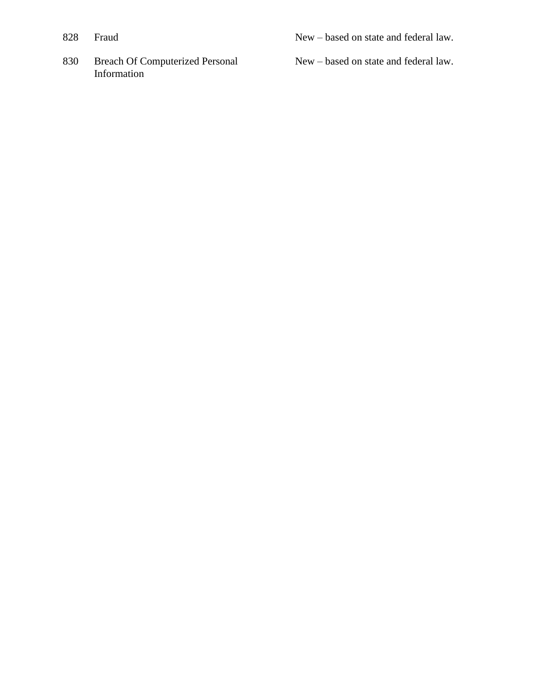- 
- 830 Breach Of Computerized Personal Information

New – based on state and federal law.